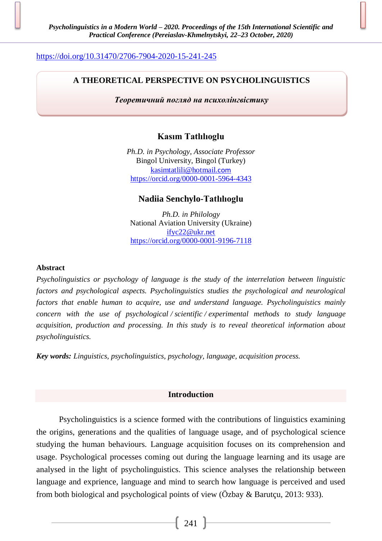# <https://doi.org/10.31470/2706-7904-2020-15-241-245>

# **A THEORETICAL PERSPECTIVE ON PSYCHOLINGUISTICS**

*Теоретичний погляд на психолінгвістику*

# **Kasım Tatlılıoglu**

*Ph.D. in Psychology, Associate Professor*  Bingol University, Bingol (Turkey) [kasimtatlili@hotmail](mailto:kasimtatlili@hotmail.com).com <https://orcid.org/0000-0001-5964-4343>

### **Nadiia Senchylo-Tatlılıoglu**

*Ph.D. in Philology* National Aviation University (Ukraine) [ifyc22@ukr.net](mailto:ifyc22@ukr.net) <https://orcid.org/0000-0001-9196-7118>

### **Abstract**

*Psycholinguistics or psychology of language is the study of the interrelation between linguistic factors and psychological aspects. Psycholinguistics studies the psychological and neurological factors that enable human to acquire, use and understand language. Psycholinguistics mainly concern with the use of psychological / scientific / experimental methods to study language acquisition, production and processing. In this study is to reveal theoretical information about psycholinguistics.*

*Key words: Linguistics, psycholinguistics, psychology, language, acquisition process.*

### **Introduction**

Psycholinguistics is a science formed with the contributions of linguistics examining the origins, generations and the qualities of language usage, and of psychological science studying the human behaviours. Language acquisition focuses on its comprehension and usage. Psychological processes coming out during the language learning and its usage are analysed in the light of psycholinguistics. This science analyses the relationship between language and exprience, language and mind to search how language is perceived and used from both biological and psychological points of view (Özbay & Barutçu, 2013: 933).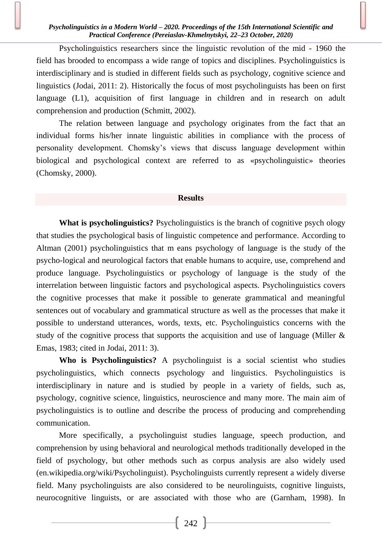Psycholinguistics researchers since the linguistic revolution of the mid - 1960 the field has brooded to encompass a wide range of topics and disciplines. Psycholinguistics is interdisciplinary and is studied in different fields such as psychology, cognitive science and linguistics (Jodai, 2011: 2). Historically the focus of most psycholinguists has been on first language (L1), acquisition of first language in children and in research on adult comprehension and production (Schmitt, 2002).

The relation between language and psychology originates from the fact that an individual forms his/her innate linguistic abilities in compliance with the process of personality development. Chomsky's views that discuss language development within biological and psychological context are referred to as «psycholinguistic» theories (Chomsky, 2000).

#### **Results**

**What is psycholinguistics?** Psycholinguistics is the branch of cognitive psychology that studies the psychological basis of linguistic competence and performance. According to Altman (2001) psycholinguistics that m eans psychology of language is the study of the psycho-logical and neurological factors that enable humans to acquire, use, comprehend and produce language. Psycholinguistics or psychology of language is the study of the interrelation between linguistic factors and psychological aspects. Psycholinguistics covers the cognitive processes that make it possible to generate grammatical and meaningful sentences out of vocabulary and grammatical structure as well as the processes that make it possible to understand utterances, words, texts, etc. Psycholinguistics concerns with the study of the cognitive process that supports the acquisition and use of language (Miller & Emas, 1983; cited in Jodai, 2011: 3).

**Who is Psycholinguistics?** A psycholinguist is a social scientist who studies psycholinguistics, which connects psychology and linguistics. Psycholinguistics is interdisciplinary in nature and is studied by people in a variety of fields, such as, psychology, cognitive science, linguistics, neuroscience and many more. The main aim of psycholinguistics is to outline and describe the process of producing and comprehending communication.

More specifically, a psycholinguist studies language, speech production, and comprehension by using behavioral and neurological methods traditionally developed in the field of psychology, but other methods such as corpus analysis are also widely used (en.wikipedia.org/wiki/Psycholinguist). Psycholinguists currently represent a widely diverse field. Many psycholinguists are also considered to be neurolinguists, cognitive linguists, neurocognitive linguists, or are associated with those who are (Garnham, 1998). In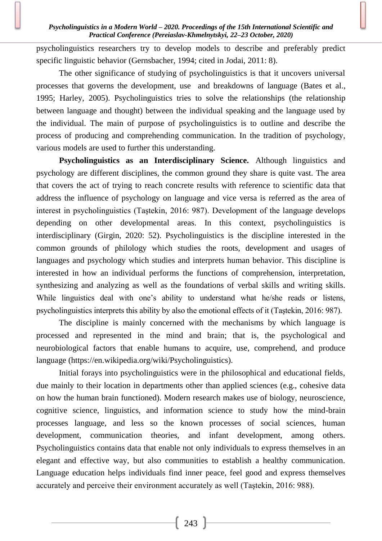psycholinguistics researchers try to develop models to describe and preferably predict specific linguistic behavior (Gernsbacher, 1994; cited in Jodai, 2011: 8).

The other significance of studying of psycholinguistics is that it uncovers universal processes that governs the development, use and breakdowns of language (Bates et al., 1995; Harley, 2005). Psycholinguistics tries to solve the relationships (the relationship between language and thought) between the individual speaking and the language used by the individual. The main of purpose of psycholinguistics is to outline and describe the process of producing and comprehending communication. In the tradition of psychology, various models are used to further this understanding.

**Psycholinguistics as an Interdisciplinary Science.** Although linguistics and psychology are different disciplines, the common ground they share is quite vast. The area that covers the act of trying to reach concrete results with reference to scientific data that address the influence of psychology on language and vice versa is referred as the area of interest in psycholinguistics (Taştekin, 2016: 987). Development of the language develops depending on other developmental areas. In this context, psycholinguistics is interdisciplinary (Girgin, 2020: 52). Psycholinguistics is the discipline interested in the common grounds of philology which studies the roots, development and usages of languages and psychology which studies and interprets human behavior. This discipline is interested in how an individual performs the functions of comprehension, interpretation, synthesizing and analyzing as well as the foundations of verbal skills and writing skills. While linguistics deal with one's ability to understand what he/she reads or listens, psycholinguistics interprets this ability by also the emotional effects of it (Taştekin, 2016: 987).

The discipline is mainly concerned with the mechanisms by which language is processed and represented in the mind and brain; that is, the psychological and neurobiological factors that enable humans to acquire, use, comprehend, and produce language (https://en.wikipedia.org/wiki/Psycholinguistics).

Initial forays into psycholinguistics were in the philosophical and educational fields, due mainly to their location in departments other than applied sciences (e.g., cohesive data on how the human brain functioned). Modern research makes use of biology, neuroscience, cognitive science, linguistics, and information science to study how the mind-brain processes language, and less so the known processes of social sciences, human development, communication theories, and infant development, among others. Psycholinguistics contains data that enable not only individuals to express themselves in an elegant and effective way, but also communities to establish a healthy communication. Language education helps individuals find inner peace, feel good and express themselves accurately and perceive their environment accurately as well (Taştekin, 2016: 988).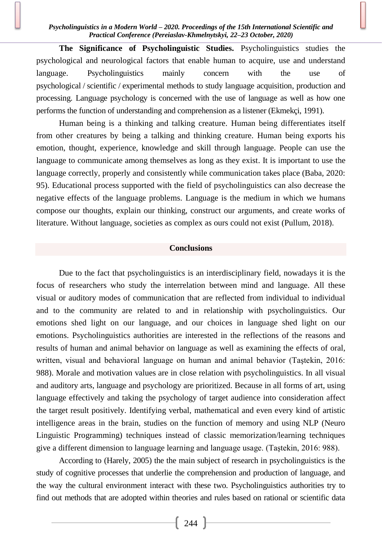### *Psycholinguistics in a Modern World – 2020. Proceedings of the 15th International Scientific and Practical Conference (Pereiaslav-Khmelnytskyi, 22–23 October, 2020)*

**The Significance of Psycholinguistic Studies.** Psycholinguistics studies the psychological and neurological factors that enable human to acquire, use and understand language. Psycholinguistics mainly concern with the use of psychological / scientific / experimental methods to study language acquisition, production and processing. Language psychology is concerned with the use of language as well as how one performs the function of understanding and comprehension as a listener (Ekmekçi, 1991).

Human being is a thinking and talking creature. Human being differentiates itself from other creatures by being a talking and thinking creature. Human being exports his emotion, thought, experience, knowledge and skill through language. People can use the language to communicate among themselves as long as they exist. It is important to use the language correctly, properly and consistently while communication takes place (Baba, 2020: 95). Educational process supported with the field of psycholinguistics can also decrease the negative effects of the language problems. Language is the medium in which we humans compose our thoughts, explain our thinking, construct our arguments, and create works of literature. Without language, societies as complex as ours could not exist (Pullum, 2018).

### **Conclusions**

Due to the fact that psycholinguistics is an interdisciplinary field, nowadays it is the focus of researchers who study the interrelation between mind and language. All these visual or auditory modes of communication that are reflected from individual to individual and to the community are related to and in relationship with psycholinguistics. Our emotions shed light on our language, and our choices in language shed light on our emotions. Psycholinguistics authorities are interested in the reflections of the reasons and results of human and animal behavior on language as well as examining the effects of oral, written, visual and behavioral language on human and animal behavior (Taştekin, 2016: 988). Morale and motivation values are in close relation with psycholinguistics. In all visual and auditory arts, language and psychology are prioritized. Because in all forms of art, using language effectively and taking the psychology of target audience into consideration affect the target result positively. Identifying verbal, mathematical and even every kind of artistic intelligence areas in the brain, studies on the function of memory and using NLP (Neuro Linguistic Programming) techniques instead of classic memorization/learning techniques give a different dimension to language learning and language usage. (Taştekin, 2016: 988).

According to (Harely, 2005) the the main subject of research in psycholinguistics is the study of cognitive processes that underlie the comprehension and production of language, and the way the cultural environment interact with these two. Psycholinguistics authorities try to find out methods that are adopted within theories and rules based on rational or scientific data